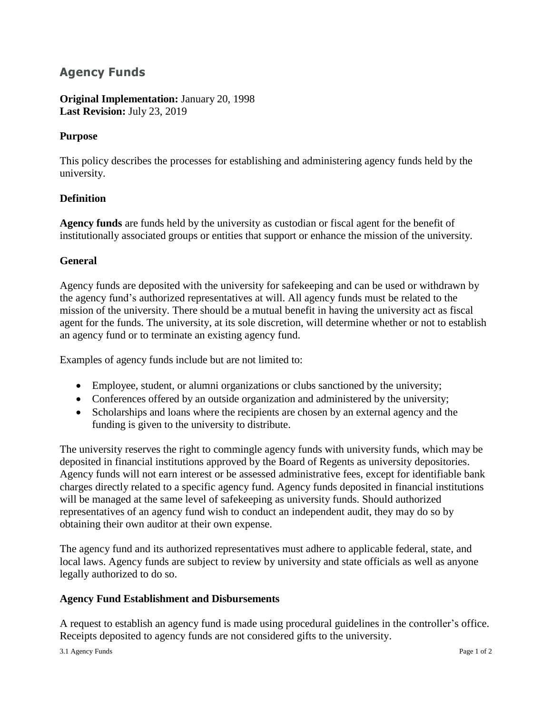# **Agency Funds**

# **Original Implementation:** January 20, 1998 **Last Revision:** July 23, 2019

# **Purpose**

This policy describes the processes for establishing and administering agency funds held by the university.

## **Definition**

**Agency funds** are funds held by the university as custodian or fiscal agent for the benefit of institutionally associated groups or entities that support or enhance the mission of the university.

## **General**

Agency funds are deposited with the university for safekeeping and can be used or withdrawn by the agency fund's authorized representatives at will. All agency funds must be related to the mission of the university. There should be a mutual benefit in having the university act as fiscal agent for the funds. The university, at its sole discretion, will determine whether or not to establish an agency fund or to terminate an existing agency fund.

Examples of agency funds include but are not limited to:

- Employee, student, or alumni organizations or clubs sanctioned by the university;
- Conferences offered by an outside organization and administered by the university;
- Scholarships and loans where the recipients are chosen by an external agency and the funding is given to the university to distribute.

The university reserves the right to commingle agency funds with university funds, which may be deposited in financial institutions approved by the Board of Regents as university depositories. Agency funds will not earn interest or be assessed administrative fees, except for identifiable bank charges directly related to a specific agency fund. Agency funds deposited in financial institutions will be managed at the same level of safekeeping as university funds. Should authorized representatives of an agency fund wish to conduct an independent audit, they may do so by obtaining their own auditor at their own expense.

The agency fund and its authorized representatives must adhere to applicable federal, state, and local laws. Agency funds are subject to review by university and state officials as well as anyone legally authorized to do so.

## **Agency Fund Establishment and Disbursements**

A request to establish an agency fund is made using procedural guidelines in the controller's office. Receipts deposited to agency funds are not considered gifts to the university.